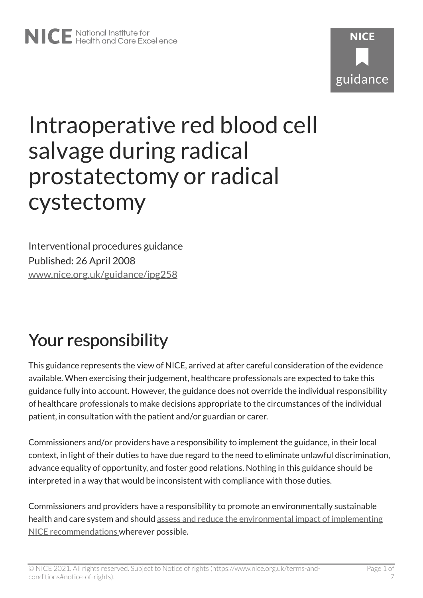

# Intraoperative red blood cell salvage during radical prostatectomy or radical cystectomy

Interventional procedures guidance Published: 26 April 2008 [www.nice.org.uk/guidance/ipg258](https://www.nice.org.uk/guidance/ipg258) 

# Your responsibility

This guidance represents the view of NICE, arrived at after careful consideration of the evidence available. When exercising their judgement, healthcare professionals are expected to take this guidance fully into account. However, the guidance does not override the individual responsibility of healthcare professionals to make decisions appropriate to the circumstances of the individual patient, in consultation with the patient and/or guardian or carer.

Commissioners and/or providers have a responsibility to implement the guidance, in their local context, in light of their duties to have due regard to the need to eliminate unlawful discrimination, advance equality of opportunity, and foster good relations. Nothing in this guidance should be interpreted in a way that would be inconsistent with compliance with those duties.

Commissioners and providers have a responsibility to promote an environmentally sustainable health and care system and should [assess and reduce the environmental impact of implementing](https://www.nice.org.uk/about/who-we-are/sustainability)  [NICE recommendations w](https://www.nice.org.uk/about/who-we-are/sustainability)herever possible.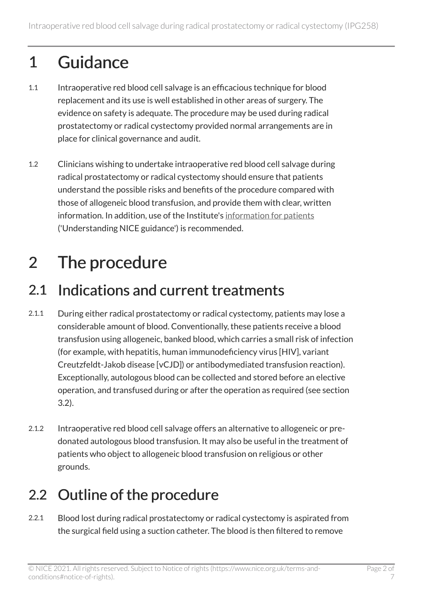# 1 Guidance

- 1.1 Intraoperative red blood cell salvage is an efficacious technique for blood replacement and its use is well established in other areas of surgery. The evidence on safety is adequate. The procedure may be used during radical prostatectomy or radical cystectomy provided normal arrangements are in place for clinical governance and audit.
- 1.2 Clinicians wishing to undertake intraoperative red blood cell salvage during radical prostatectomy or radical cystectomy should ensure that patients understand the possible risks and benefits of the procedure compared with those of allogeneic blood transfusion, and provide them with clear, written information. In addition, use of the Institute's [information for patients](http://www.nice.org.uk/guidance/ipg258/informationforpublic) ('Understanding NICE guidance') is recommended.

# 2 The procedure

#### 2.1 Indications and current treatments

- 2.1.1 During either radical prostatectomy or radical cystectomy, patients may lose a considerable amount of blood. Conventionally, these patients receive a blood transfusion using allogeneic, banked blood, which carries a small risk of infection (for example, with hepatitis, human immunodeficiency virus [HIV], variant Creutzfeldt-Jakob disease [vCJD]) or antibodymediated transfusion reaction). Exceptionally, autologous blood can be collected and stored before an elective operation, and transfused during or after the operation as required (see section 3.2).
- 2.1.2 Intraoperative red blood cell salvage offers an alternative to allogeneic or predonated autologous blood transfusion. It may also be useful in the treatment of patients who object to allogeneic blood transfusion on religious or other grounds.

### 2.2 Outline of the procedure

2.2.1 Blood lost during radical prostatectomy or radical cystectomy is aspirated from the surgical field using a suction catheter. The blood is then filtered to remove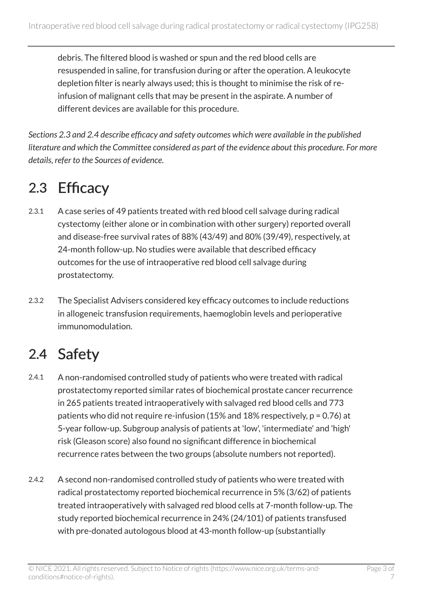debris. The filtered blood is washed or spun and the red blood cells are resuspended in saline, for transfusion during or after the operation. A leukocyte depletion filter is nearly always used; this is thought to minimise the risk of reinfusion of malignant cells that may be present in the aspirate. A number of different devices are available for this procedure.

*Sections 2.3 and 2.4 describe efficacy and safety outcomes which were available in the published literature and which the Committee considered as part of the evidence about this procedure. For more details, refer to the Sources of evidence.* 

### 2.3 Efficacy

- 2.3.1 A case series of 49 patients treated with red blood cell salvage during radical cystectomy (either alone or in combination with other surgery) reported overall and disease-free survival rates of 88% (43/49) and 80% (39/49), respectively, at 24-month follow-up. No studies were available that described efficacy outcomes for the use of intraoperative red blood cell salvage during prostatectomy.
- 2.3.2 The Specialist Advisers considered key efficacy outcomes to include reductions in allogeneic transfusion requirements, haemoglobin levels and perioperative immunomodulation.

### 2.4 Safety

- 2.4.1 A non-randomised controlled study of patients who were treated with radical prostatectomy reported similar rates of biochemical prostate cancer recurrence in 265 patients treated intraoperatively with salvaged red blood cells and 773 patients who did not require re-infusion (15% and 18% respectively, p = 0.76) at 5-year follow-up. Subgroup analysis of patients at 'low', 'intermediate' and 'high' risk (Gleason score) also found no significant difference in biochemical recurrence rates between the two groups (absolute numbers not reported).
- 2.4.2 A second non-randomised controlled study of patients who were treated with radical prostatectomy reported biochemical recurrence in 5% (3/62) of patients treated intraoperatively with salvaged red blood cells at 7-month follow-up. The study reported biochemical recurrence in 24% (24/101) of patients transfused with pre-donated autologous blood at 43-month follow-up (substantially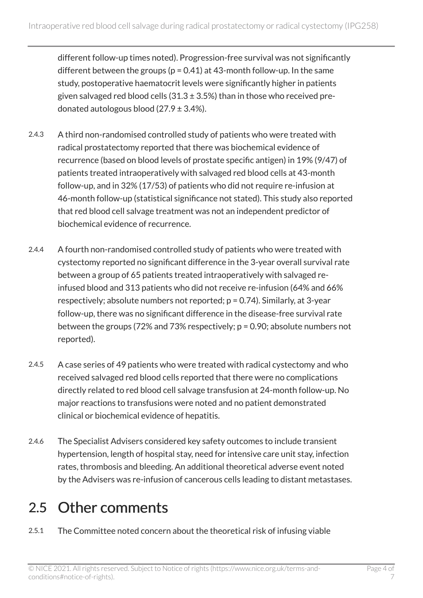different follow-up times noted). Progression-free survival was not significantly different between the groups ( $p = 0.41$ ) at 43-month follow-up. In the same study, postoperative haematocrit levels were significantly higher in patients given salvaged red blood cells  $(31.3 \pm 3.5\%)$  than in those who received predonated autologous blood  $(27.9 \pm 3.4\%)$ .

- 2.4.3 A third non-randomised controlled study of patients who were treated with radical prostatectomy reported that there was biochemical evidence of recurrence (based on blood levels of prostate specific antigen) in 19% (9/47) of patients treated intraoperatively with salvaged red blood cells at 43-month follow-up, and in 32% (17/53) of patients who did not require re-infusion at 46-month follow-up (statistical significance not stated). This study also reported that red blood cell salvage treatment was not an independent predictor of biochemical evidence of recurrence.
- 2.4.4 A fourth non-randomised controlled study of patients who were treated with cystectomy reported no significant difference in the 3-year overall survival rate between a group of 65 patients treated intraoperatively with salvaged reinfused blood and 313 patients who did not receive re-infusion (64% and 66% respectively; absolute numbers not reported; p = 0.74). Similarly, at 3-year follow-up, there was no significant difference in the disease-free survival rate between the groups (72% and 73% respectively; p = 0.90; absolute numbers not reported).
- 2.4.5 A case series of 49 patients who were treated with radical cystectomy and who received salvaged red blood cells reported that there were no complications directly related to red blood cell salvage transfusion at 24-month follow-up. No major reactions to transfusions were noted and no patient demonstrated clinical or biochemical evidence of hepatitis.
- 2.4.6 The Specialist Advisers considered key safety outcomes to include transient hypertension, length of hospital stay, need for intensive care unit stay, infection rates, thrombosis and bleeding. An additional theoretical adverse event noted by the Advisers was re-infusion of cancerous cells leading to distant metastases.

#### 2.5 Other comments

2.5.1 The Committee noted concern about the theoretical risk of infusing viable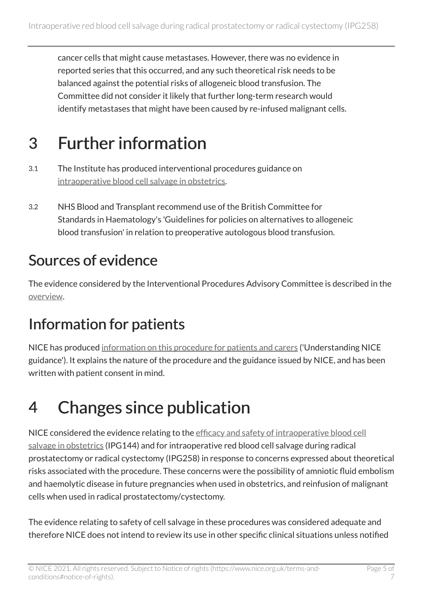cancer cells that might cause metastases. However, there was no evidence in reported series that this occurred, and any such theoretical risk needs to be balanced against the potential risks of allogeneic blood transfusion. The Committee did not consider it likely that further long-term research would identify metastases that might have been caused by re-infused malignant cells.

# 3 Further information

- 3.1 The Institute has produced interventional procedures guidance on [intraoperative blood cell salvage in obstetrics](http://www.nice.org.uk/guidance/ipg144).
- 3.2 NHS Blood and Transplant recommend use of the British Committee for Standards in Haematology's 'Guidelines for policies on alternatives to allogeneic blood transfusion' in relation to preoperative autologous blood transfusion.

#### Sources of evidence

The evidence considered by the Interventional Procedures Advisory Committee is described in the [overview](http://www.nice.org.uk/proxy/?sourceUrl=http%3a%2f%2fwww.nice.org.uk%2fip597overview).

### Information for patients

NICE has produced [information on this procedure for patients and carers](http://www.nice.org.uk/guidance/ipg258/informationforpublic) ('Understanding NICE guidance'). It explains the nature of the procedure and the guidance issued by NICE, and has been written with patient consent in mind.

# 4 Changes since publication

NICE considered the evidence relating to the efficacy and safety of intraoperative blood cell [salvage in obstetrics](http://www.nice.org.uk/guidance/ipg144) (IPG144) and for intraoperative red blood cell salvage during radical prostatectomy or radical cystectomy (IPG258) in response to concerns expressed about theoretical risks associated with the procedure. These concerns were the possibility of amniotic fluid embolism and haemolytic disease in future pregnancies when used in obstetrics, and reinfusion of malignant cells when used in radical prostatectomy/cystectomy.

The evidence relating to safety of cell salvage in these procedures was considered adequate and therefore NICE does not intend to review its use in other specific clinical situations unless notified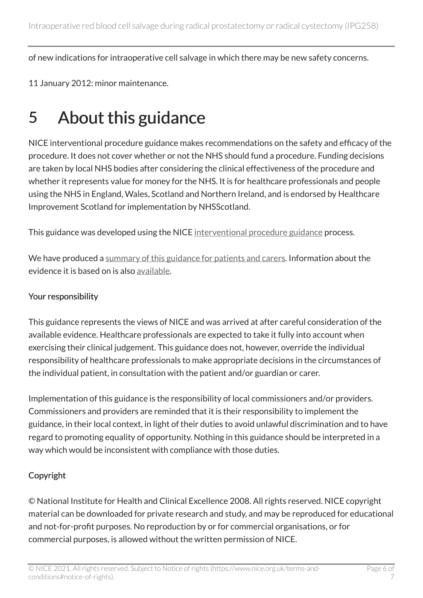of new indications for intraoperative cell salvage in which there may be new safety concerns.

11 January 2012: minor maintenance.

## 5 About this guidance

NICE interventional procedure guidance makes recommendations on the safety and efficacy of the procedure. It does not cover whether or not the NHS should fund a procedure. Funding decisions are taken by local NHS bodies after considering the clinical effectiveness of the procedure and whether it represents value for money for the NHS. It is for healthcare professionals and people using the NHS in England, Wales, Scotland and Northern Ireland, and is endorsed by Healthcare Improvement Scotland for implementation by NHSScotland.

This guidance was developed using the NICE [interventional procedure guidance](http://www.nice.org.uk/about/what-we-do/our-programmes/nice-guidance/nice-interventional-procedures-guidance) process.

We have produced a [summary of this guidance for patients and carers.](http://www.nice.org.uk/guidance/ipg258/informationforpublic) Information about the evidence it is based on is also [available](http://www.nice.org.uk/guidance/ipg258).

#### Your responsibility

This guidance represents the views of NICE and was arrived at after careful consideration of the available evidence. Healthcare professionals are expected to take it fully into account when exercising their clinical judgement. This guidance does not, however, override the individual responsibility of healthcare professionals to make appropriate decisions in the circumstances of the individual patient, in consultation with the patient and/or guardian or carer.

Implementation of this guidance is the responsibility of local commissioners and/or providers. Commissioners and providers are reminded that it is their responsibility to implement the guidance, in their local context, in light of their duties to avoid unlawful discrimination and to have regard to promoting equality of opportunity. Nothing in this guidance should be interpreted in a way which would be inconsistent with compliance with those duties.

#### Copyright

© National Institute for Health and Clinical Excellence 2008. All rights reserved. NICE copyright material can be downloaded for private research and study, and may be reproduced for educational and not-for-profit purposes. No reproduction by or for commercial organisations, or for commercial purposes, is allowed without the written permission of NICE.